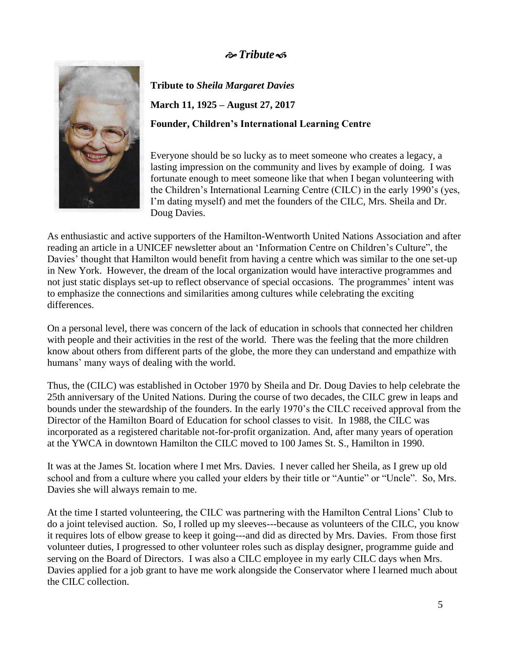## *Tribute*



**Tribute to** *Sheila Margaret Davies* **March 11, 1925 – August 27, 2017 Founder, Children's International Learning Centre**

Everyone should be so lucky as to meet someone who creates a legacy, a lasting impression on the community and lives by example of doing. I was fortunate enough to meet someone like that when I began volunteering with the Children's International Learning Centre (CILC) in the early 1990's (yes, I'm dating myself) and met the founders of the CILC, Mrs. Sheila and Dr. Doug Davies.

As enthusiastic and active supporters of the Hamilton-Wentworth United Nations Association and after reading an article in a UNICEF newsletter about an 'Information Centre on Children's Culture", the Davies' thought that Hamilton would benefit from having a centre which was similar to the one set-up in New York. However, the dream of the local organization would have interactive programmes and not just static displays set-up to reflect observance of special occasions. The programmes' intent was to emphasize the connections and similarities among cultures while celebrating the exciting differences.

On a personal level, there was concern of the lack of education in schools that connected her children with people and their activities in the rest of the world. There was the feeling that the more children know about others from different parts of the globe, the more they can understand and empathize with humans' many ways of dealing with the world.

Thus, the (CILC) was established in October 1970 by Sheila and Dr. Doug Davies to help celebrate the 25th anniversary of the United Nations. During the course of two decades, the CILC grew in leaps and bounds under the stewardship of the founders. In the early 1970's the CILC received approval from the Director of the Hamilton Board of Education for school classes to visit. In 1988, the CILC was incorporated as a registered charitable not-for-profit organization. And, after many years of operation at the YWCA in downtown Hamilton the CILC moved to 100 James St. S., Hamilton in 1990.

It was at the James St. location where I met Mrs. Davies. I never called her Sheila, as I grew up old school and from a culture where you called your elders by their title or "Auntie" or "Uncle". So, Mrs. Davies she will always remain to me.

At the time I started volunteering, the CILC was partnering with the Hamilton Central Lions' Club to do a joint televised auction. So, I rolled up my sleeves---because as volunteers of the CILC, you know it requires lots of elbow grease to keep it going---and did as directed by Mrs. Davies. From those first volunteer duties, I progressed to other volunteer roles such as display designer, programme guide and serving on the Board of Directors. I was also a CILC employee in my early CILC days when Mrs. Davies applied for a job grant to have me work alongside the Conservator where I learned much about the CILC collection.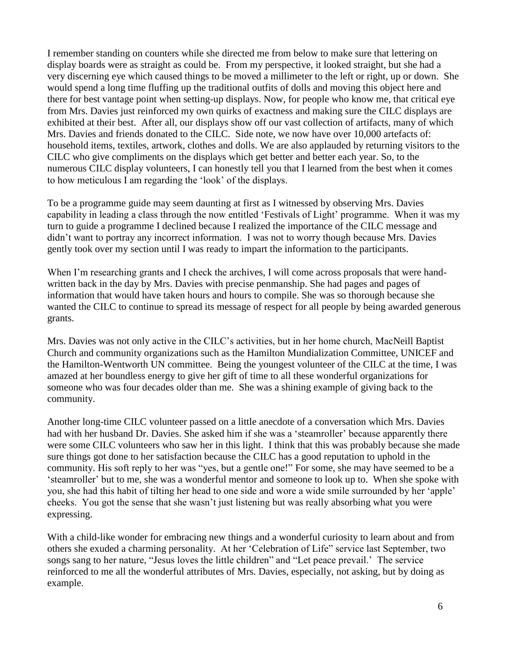I remember standing on counters while she directed me from below to make sure that lettering on display boards were as straight as could be. From my perspective, it looked straight, but she had a very discerning eye which caused things to be moved a millimeter to the left or right, up or down. She would spend a long time fluffing up the traditional outfits of dolls and moving this object here and there for best vantage point when setting-up displays. Now, for people who know me, that critical eye from Mrs. Davies just reinforced my own quirks of exactness and making sure the CILC displays are exhibited at their best. After all, our displays show off our vast collection of artifacts, many of which Mrs. Davies and friends donated to the CILC. Side note, we now have over 10,000 artefacts of: household items, textiles, artwork, clothes and dolls. We are also applauded by returning visitors to the CILC who give compliments on the displays which get better and better each year. So, to the numerous CILC display volunteers, I can honestly tell you that I learned from the best when it comes to how meticulous I am regarding the 'look' of the displays.

To be a programme guide may seem daunting at first as I witnessed by observing Mrs. Davies capability in leading a class through the now entitled 'Festivals of Light' programme. When it was my turn to guide a programme I declined because I realized the importance of the CILC message and didn't want to portray any incorrect information. I was not to worry though because Mrs. Davies gently took over my section until I was ready to impart the information to the participants.

When I'm researching grants and I check the archives, I will come across proposals that were handwritten back in the day by Mrs. Davies with precise penmanship. She had pages and pages of information that would have taken hours and hours to compile. She was so thorough because she wanted the CILC to continue to spread its message of respect for all people by being awarded generous grants.

Mrs. Davies was not only active in the CILC's activities, but in her home church, MacNeill Baptist Church and community organizations such as the Hamilton Mundialization Committee, UNICEF and the Hamilton-Wentworth UN committee. Being the youngest volunteer of the CILC at the time, I was amazed at her boundless energy to give her gift of time to all these wonderful organizations for someone who was four decades older than me. She was a shining example of giving back to the community.

Another long-time CILC volunteer passed on a little anecdote of a conversation which Mrs. Davies had with her husband Dr. Davies. She asked him if she was a 'steamroller' because apparently there were some CILC volunteers who saw her in this light. I think that this was probably because she made sure things got done to her satisfaction because the CILC has a good reputation to uphold in the community. His soft reply to her was "yes, but a gentle one!" For some, she may have seemed to be a 'steamroller' but to me, she was a wonderful mentor and someone to look up to. When she spoke with you, she had this habit of tilting her head to one side and wore a wide smile surrounded by her 'apple' cheeks. You got the sense that she wasn't just listening but was really absorbing what you were expressing.

With a child-like wonder for embracing new things and a wonderful curiosity to learn about and from others she exuded a charming personality. At her 'Celebration of Life" service last September, two songs sang to her nature, "Jesus loves the little children" and "Let peace prevail.' The service reinforced to me all the wonderful attributes of Mrs. Davies, especially, not asking, but by doing as example.